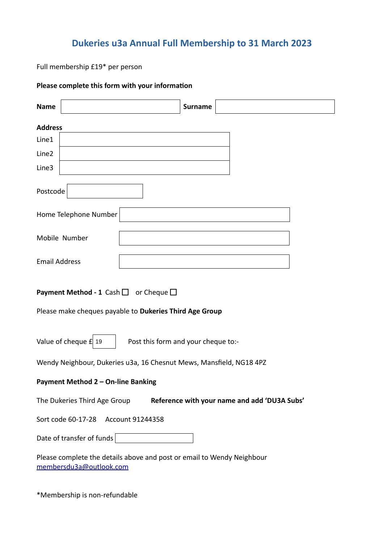## **Dukeries u3a Annual Full Membership to 31 March 2023**

Full membership £19\* per person

## **Please complete this form with your information**

| <b>Name</b>                                                                                                       |  | <b>Surname</b> |  |  |  |  |  |
|-------------------------------------------------------------------------------------------------------------------|--|----------------|--|--|--|--|--|
| <b>Address</b>                                                                                                    |  |                |  |  |  |  |  |
| Line1                                                                                                             |  |                |  |  |  |  |  |
| Line2                                                                                                             |  |                |  |  |  |  |  |
| Line3                                                                                                             |  |                |  |  |  |  |  |
| Postcode                                                                                                          |  |                |  |  |  |  |  |
| Home Telephone Number                                                                                             |  |                |  |  |  |  |  |
| Mobile Number                                                                                                     |  |                |  |  |  |  |  |
| <b>Email Address</b>                                                                                              |  |                |  |  |  |  |  |
| <b>Payment Method - 1</b> Cash $\Box$ or Cheque $\Box$<br>Please make cheques payable to Dukeries Third Age Group |  |                |  |  |  |  |  |
| Value of cheque $f$ 19<br>Post this form and your cheque to:-                                                     |  |                |  |  |  |  |  |
| Wendy Neighbour, Dukeries u3a, 16 Chesnut Mews, Mansfield, NG18 4PZ                                               |  |                |  |  |  |  |  |
| Payment Method 2 - On-line Banking                                                                                |  |                |  |  |  |  |  |
| Reference with your name and add 'DU3A Subs'<br>The Dukeries Third Age Group                                      |  |                |  |  |  |  |  |
| Sort code 60-17-28 Account 91244358                                                                               |  |                |  |  |  |  |  |
| Date of transfer of funds                                                                                         |  |                |  |  |  |  |  |
| Please complete the details above and post or email to Wendy Neighbour<br>membersdu3a@outlook.com                 |  |                |  |  |  |  |  |

\*Membership is non-refundable